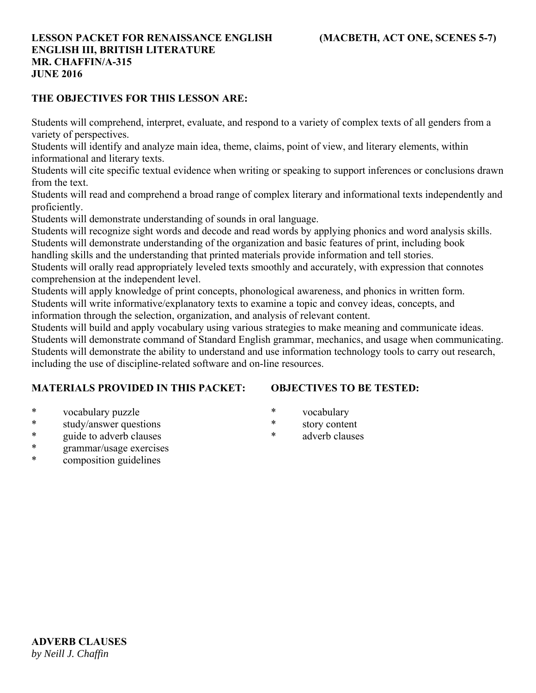### **THE OBJECTIVES FOR THIS LESSON ARE:**

Students will comprehend, interpret, evaluate, and respond to a variety of complex texts of all genders from a variety of perspectives.

Students will identify and analyze main idea, theme, claims, point of view, and literary elements, within informational and literary texts.

Students will cite specific textual evidence when writing or speaking to support inferences or conclusions drawn from the text.

Students will read and comprehend a broad range of complex literary and informational texts independently and proficiently.

Students will demonstrate understanding of sounds in oral language.

Students will recognize sight words and decode and read words by applying phonics and word analysis skills. Students will demonstrate understanding of the organization and basic features of print, including book

handling skills and the understanding that printed materials provide information and tell stories.

Students will orally read appropriately leveled texts smoothly and accurately, with expression that connotes comprehension at the independent level.

Students will apply knowledge of print concepts, phonological awareness, and phonics in written form. Students will write informative/explanatory texts to examine a topic and convey ideas, concepts, and

information through the selection, organization, and analysis of relevant content.

Students will build and apply vocabulary using various strategies to make meaning and communicate ideas. Students will demonstrate command of Standard English grammar, mechanics, and usage when communicating. Students will demonstrate the ability to understand and use information technology tools to carry out research, including the use of discipline-related software and on-line resources.

### **MATERIALS PROVIDED IN THIS PACKET:**

### **OBJECTIVES TO BE TESTED:**

- \* vocabulary puzzle
- \* study/answer questions
- \* guide to adverb clauses
- \* grammar/usage exercises
- \* composition guidelines
- \* vocabulary
- \* story content
- \* adverb clauses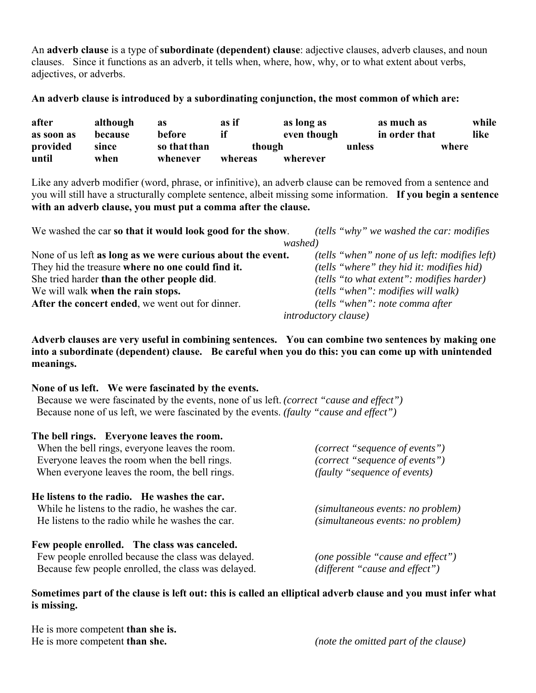An **adverb clause** is a type of **subordinate (dependent) clause**: adjective clauses, adverb clauses, and noun clauses. Since it functions as an adverb, it tells when, where, how, why, or to what extent about verbs, adjectives, or adverbs.

**An adverb clause is introduced by a subordinating conjunction, the most common of which are:**

| after      | although | as           | as if   | as long as  | as much as    | while |  |
|------------|----------|--------------|---------|-------------|---------------|-------|--|
| as soon as | because  | before       |         | even though | in order that | like  |  |
| provided   | since    | so that than |         | though      | unless        | where |  |
| until      | when     | whenever     | whereas | wherever    |               |       |  |

Like any adverb modifier (word, phrase, or infinitive), an adverb clause can be removed from a sentence and you will still have a structurally complete sentence, albeit missing some information. **If you begin a sentence with an adverb clause, you must put a comma after the clause.** 

| We washed the car so that it would look good for the show.  | <i>(tells "why" we washed the car: modifies</i> |  |  |
|-------------------------------------------------------------|-------------------------------------------------|--|--|
|                                                             | washed)                                         |  |  |
| None of us left as long as we were curious about the event. | (tells "when" none of us left: modifies left)   |  |  |
| They hid the treasure where no one could find it.           | (tells "where" they hid it: modifies hid)       |  |  |
| She tried harder than the other people did.                 | (tells "to what extent": modifies harder)       |  |  |
| We will walk when the rain stops.                           | <i>(tells "when": modifies will walk)</i>       |  |  |
| After the concert ended, we went out for dinner.            | (tells "when": note comma after                 |  |  |
|                                                             | <i>introductory clause)</i>                     |  |  |

**Adverb clauses are very useful in combining sentences. You can combine two sentences by making one into a subordinate (dependent) clause. Be careful when you do this: you can come up with unintended meanings.**

#### **None of us left. We were fascinated by the events.**

Because we were fascinated by the events, none of us left. *(correct "cause and effect")* Because none of us left, we were fascinated by the events. *(faulty "cause and effect")*

| The bell rings. Everyone leaves the room.<br>When the bell rings, everyone leaves the room.<br>Everyone leaves the room when the bell rings.<br>When everyone leaves the room, the bell rings. | (correct "sequence of events")<br>(correct "sequence of events")<br><i>(faulty "sequence of events)</i> |
|------------------------------------------------------------------------------------------------------------------------------------------------------------------------------------------------|---------------------------------------------------------------------------------------------------------|
| He listens to the radio. He washes the car.<br>While he listens to the radio, he washes the car.<br>He listens to the radio while he washes the car.                                           | (simultaneous events: no problem)<br>(simultaneous events: no problem)                                  |
| Few people enrolled. The class was canceled.<br>Few people enrolled because the class was delayed.<br>Because few people enrolled, the class was delayed.                                      | (one possible "cause and effect")<br>(different "cause and effect")                                     |

**Sometimes part of the clause is left out: this is called an elliptical adverb clause and you must infer what is missing.**

He is more competent **than she is.**

He is more competent **than she.** *(note the omitted part of the clause)*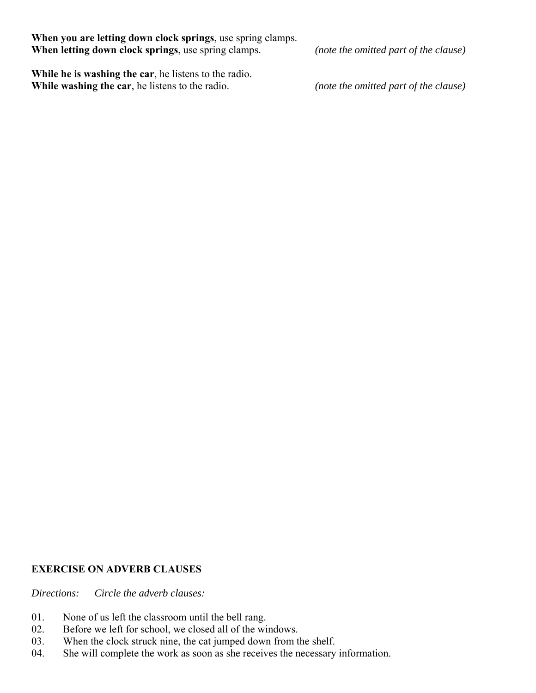**When you are letting down clock springs**, use spring clamps. **When letting down clock springs**, use spring clamps. *(note the omitted part of the clause)*

**While he is washing the car**, he listens to the radio. **While washing the car**, he listens to the radio. *(note the omitted part of the clause)* 

### **EXERCISE ON ADVERB CLAUSES**

*Directions: Circle the adverb clauses:*

- 01. None of us left the classroom until the bell rang.
- 02. Before we left for school, we closed all of the windows.
- 03. When the clock struck nine, the cat jumped down from the shelf.
- 04. She will complete the work as soon as she receives the necessary information.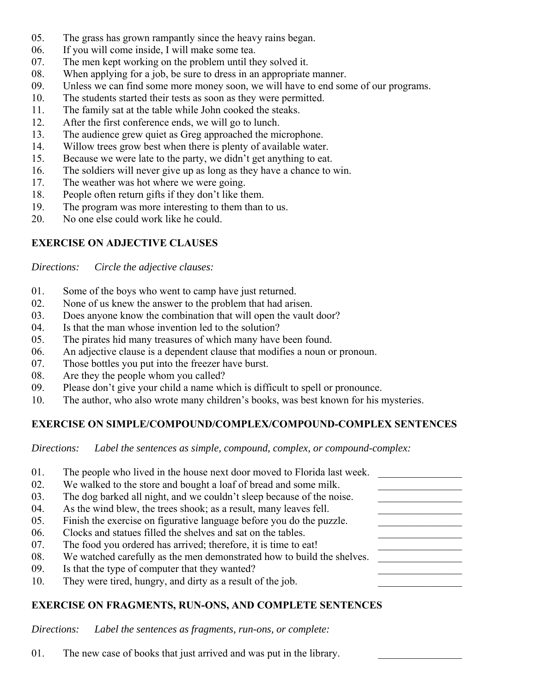- 05. The grass has grown rampantly since the heavy rains began.
- 06. If you will come inside, I will make some tea.
- 07. The men kept working on the problem until they solved it.
- 08. When applying for a job, be sure to dress in an appropriate manner.
- 09. Unless we can find some more money soon, we will have to end some of our programs.
- 10. The students started their tests as soon as they were permitted.
- 11. The family sat at the table while John cooked the steaks.
- 12. After the first conference ends, we will go to lunch.
- 13. The audience grew quiet as Greg approached the microphone.
- 14. Willow trees grow best when there is plenty of available water.
- 15. Because we were late to the party, we didn't get anything to eat.
- 16. The soldiers will never give up as long as they have a chance to win.
- 17. The weather was hot where we were going.
- 18. People often return gifts if they don't like them.
- 19. The program was more interesting to them than to us.
- 20. No one else could work like he could.

# **EXERCISE ON ADJECTIVE CLAUSES**

*Directions: Circle the adjective clauses:*

- 01. Some of the boys who went to camp have just returned.
- 02. None of us knew the answer to the problem that had arisen.
- 03. Does anyone know the combination that will open the vault door?
- 04. Is that the man whose invention led to the solution?
- 05. The pirates hid many treasures of which many have been found.
- 06. An adjective clause is a dependent clause that modifies a noun or pronoun.
- 07. Those bottles you put into the freezer have burst.
- 08. Are they the people whom you called?
- 09. Please don't give your child a name which is difficult to spell or pronounce.
- 10. The author, who also wrote many children's books, was best known for his mysteries.

## **EXERCISE ON SIMPLE/COMPOUND/COMPLEX/COMPOUND-COMPLEX SENTENCES**

*Directions: Label the sentences as simple, compound, complex, or compound-complex:*

| 01. | The people who lived in the house next door moved to Florida last week. |  |
|-----|-------------------------------------------------------------------------|--|
| 02. | We walked to the store and bought a loaf of bread and some milk.        |  |
| 03. | The dog barked all night, and we couldn't sleep because of the noise.   |  |
| 04. | As the wind blew, the trees shook; as a result, many leaves fell.       |  |
| 05. | Finish the exercise on figurative language before you do the puzzle.    |  |
| 06. | Clocks and statues filled the shelves and sat on the tables.            |  |
| 07. | The food you ordered has arrived; therefore, it is time to eat!         |  |
| 08. | We watched carefully as the men demonstrated how to build the shelves.  |  |
| 09. | Is that the type of computer that they wanted?                          |  |
| 10. | They were tired, hungry, and dirty as a result of the job.              |  |
|     |                                                                         |  |

# **EXERCISE ON FRAGMENTS, RUN-ONS, AND COMPLETE SENTENCES**

*Directions: Label the sentences as fragments, run-ons, or complete:*

01. The new case of books that just arrived and was put in the library.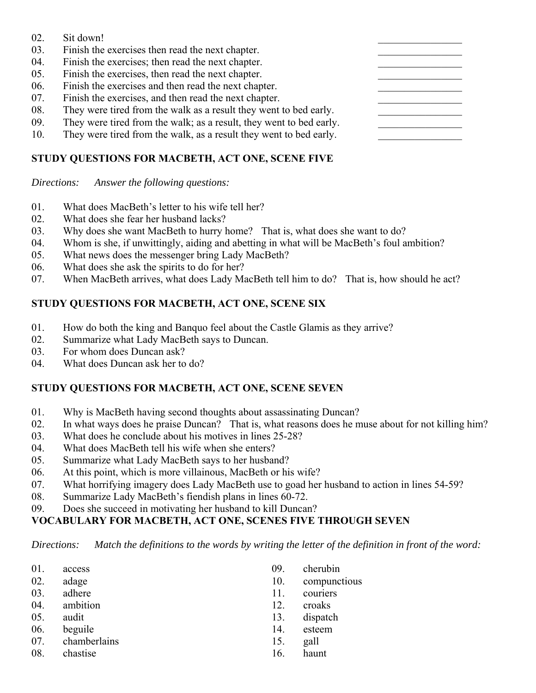- $02.$  Sit down!
- 03. Finish the exercises then read the next chapter.
- 04. Finish the exercises; then read the next chapter.
- 05. Finish the exercises, then read the next chapter.
- 06. Finish the exercises and then read the next chapter.
- 07. Finish the exercises, and then read the next chapter.
- 08. They were tired from the walk as a result they went to bed early.
- 09. They were tired from the walk; as a result, they went to bed early.
- 10. They were tired from the walk, as a result they went to bed early.

## **STUDY QUESTIONS FOR MACBETH, ACT ONE, SCENE FIVE**

*Directions: Answer the following questions:*

- 01. What does MacBeth's letter to his wife tell her?
- 02. What does she fear her husband lacks?
- 03. Why does she want MacBeth to hurry home? That is, what does she want to do?
- 04. Whom is she, if unwittingly, aiding and abetting in what will be MacBeth's foul ambition?
- 05. What news does the messenger bring Lady MacBeth?
- 06. What does she ask the spirits to do for her?
- 07. When MacBeth arrives, what does Lady MacBeth tell him to do? That is, how should he act?

### **STUDY QUESTIONS FOR MACBETH, ACT ONE, SCENE SIX**

- 01. How do both the king and Banquo feel about the Castle Glamis as they arrive?
- 02. Summarize what Lady MacBeth says to Duncan.
- 03. For whom does Duncan ask?
- 04. What does Duncan ask her to do?

## **STUDY QUESTIONS FOR MACBETH, ACT ONE, SCENE SEVEN**

- 01. Why is MacBeth having second thoughts about assassinating Duncan?
- 02. In what ways does he praise Duncan? That is, what reasons does he muse about for not killing him?
- 03. What does he conclude about his motives in lines 25-28?
- 04. What does MacBeth tell his wife when she enters?
- 05. Summarize what Lady MacBeth says to her husband?
- 06. At this point, which is more villainous, MacBeth or his wife?
- 07. What horrifying imagery does Lady MacBeth use to goad her husband to action in lines 54-59?
- 08. Summarize Lady MacBeth's fiendish plans in lines 60-72.
- 09. Does she succeed in motivating her husband to kill Duncan?

## **VOCABULARY FOR MACBETH, ACT ONE, SCENES FIVE THROUGH SEVEN**

*Directions: Match the definitions to the words by writing the letter of the definition in front of the word:*

| 01. | access       | 09. | cherubin     |
|-----|--------------|-----|--------------|
| 02. | adage        | 10. | compunctious |
| 03. | adhere       | 11. | couriers     |
| 04. | ambition     | 12. | croaks       |
| 05. | audit        | 13. | dispatch     |
| 06. | beguile      | 14. | esteem       |
| 07. | chamberlains | 15. | gall         |
| 08. | chastise     | 16. | haunt        |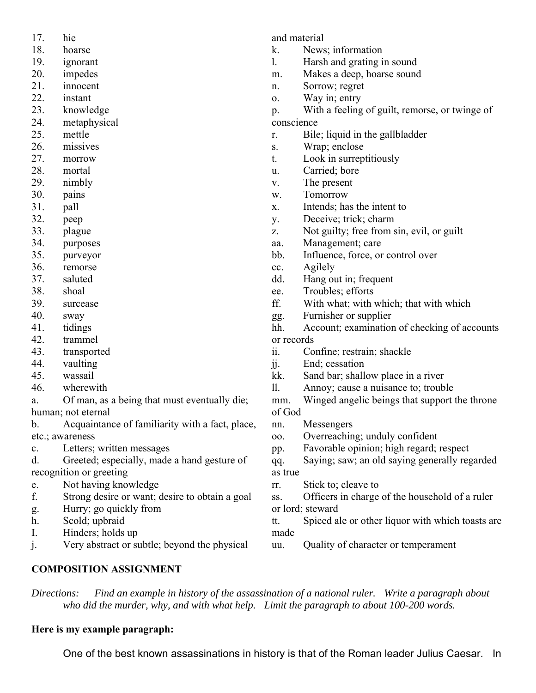- 17. hie
- 18. hoarse
- 19. ignorant
- 20. impedes
- 21. innocent
- 22. instant
- 23. knowledge
- 24. metaphysical
- 25. mettle
- 26. missives
- 27. morrow
- 28. mortal
- 29. nimbly
- 30. pains
- 31. pall
- 32. peep
- 33. plague
- 34. purposes
- 35. purveyor
- 36. remorse
- 37. saluted
- 38. shoal
- 39. surcease
- 40. sway
- 41. tidings
- 42. trammel
- 43. transported
- 44. vaulting
- 45. wassail
- 46. wherewith
- a. Of man, as a being that must eventually die; human; not eternal
- b. Acquaintance of familiarity with a fact, place, etc.; awareness
- c. Letters; written messages
- d. Greeted; especially, made a hand gesture of recognition or greeting
- e. Not having knowledge
- f. Strong desire or want; desire to obtain a goal
- g. Hurry; go quickly from
- h. Scold; upbraid
- I. Hinders; holds up
- j. Very abstract or subtle; beyond the physical

and material

- k. News; information
- l. Harsh and grating in sound
- m. Makes a deep, hoarse sound
- n. Sorrow; regret
- o. Way in; entry

p. With a feeling of guilt, remorse, or twinge of conscience

- r. Bile; liquid in the gallbladder
- s. Wrap; enclose
- t. Look in surreptitiously
- u. Carried; bore
- v. The present
- w. Tomorrow
- x. Intends; has the intent to
- y. Deceive; trick; charm
- z. Not guilty; free from sin, evil, or guilt
- aa. Management; care
- bb. Influence, force, or control over
- cc. Agilely
- dd. Hang out in; frequent
- ee. Troubles; efforts
- ff. With what; with which; that with which
- gg. Furnisher or supplier
- hh. Account; examination of checking of accounts or records
- ii. Confine; restrain; shackle
- jj. End; cessation
- kk. Sand bar; shallow place in a river
- ll. Annoy; cause a nuisance to; trouble
- mm. Winged angelic beings that support the throne of God
- nn. Messengers
- oo. Overreaching; unduly confident
- pp. Favorable opinion; high regard; respect
- qq. Saying; saw; an old saying generally regarded as true
- rr. Stick to; cleave to
- ss. Officers in charge of the household of a ruler or lord; steward
- tt. Spiced ale or other liquor with which toasts are made
- uu. Quality of character or temperament

**COMPOSITION ASSIGNMENT**

*Directions: Find an example in history of the assassination of a national ruler. Write a paragraph about who did the murder, why, and with what help. Limit the paragraph to about 100-200 words.*

## **Here is my example paragraph:**

One of the best known assassinations in history is that of the Roman leader Julius Caesar. In